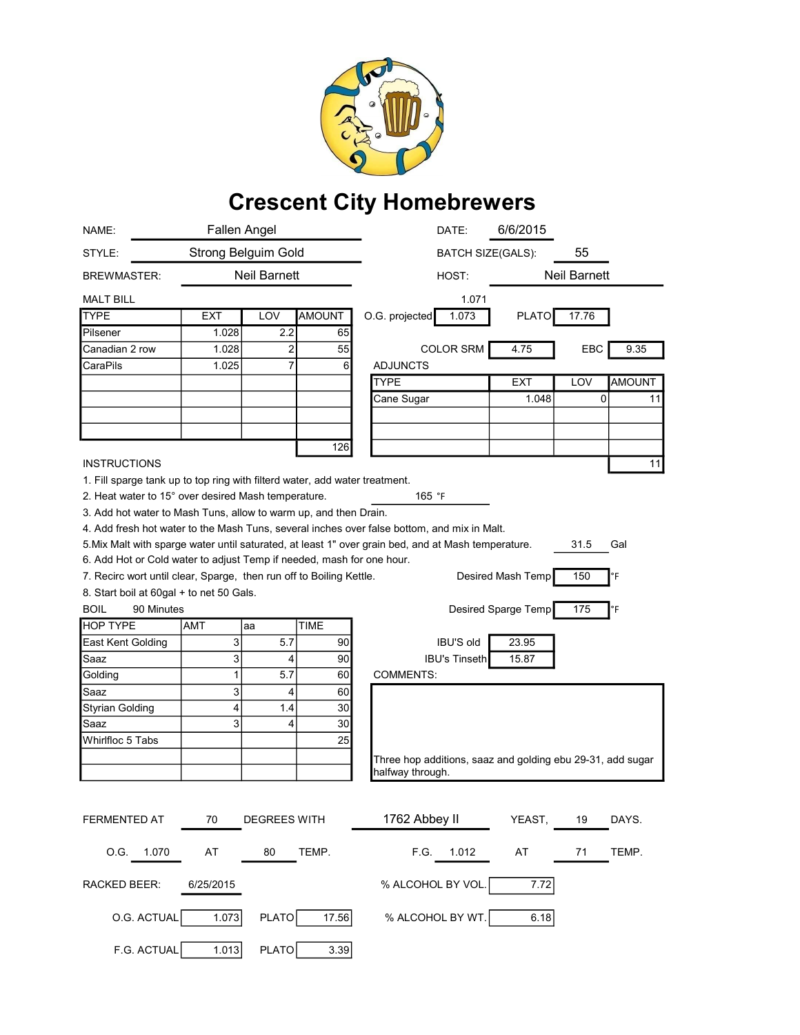

## Crescent City Homebrewers

| NAME:                                                                       |                            | <b>Fallen Angel</b> |               | DATE:                                                                                               | 6/6/2015                 |          |               |
|-----------------------------------------------------------------------------|----------------------------|---------------------|---------------|-----------------------------------------------------------------------------------------------------|--------------------------|----------|---------------|
| STYLE:                                                                      | <b>Strong Belguim Gold</b> |                     |               |                                                                                                     | <b>BATCH SIZE(GALS):</b> |          |               |
| <b>BREWMASTER:</b>                                                          | <b>Neil Barnett</b>        |                     | HOST:         |                                                                                                     | <b>Neil Barnett</b>      |          |               |
| MALT BILL                                                                   |                            |                     |               | 1.071                                                                                               |                          |          |               |
| <b>TYPE</b>                                                                 | EXT                        | LOV                 | <b>AMOUNT</b> | O.G. projected<br>1.073                                                                             | <b>PLATO</b>             | 17.76    |               |
| Pilsener                                                                    | 1.028                      | 2.2                 | 65            |                                                                                                     |                          |          |               |
| Canadian 2 row                                                              | 1.028                      | 2                   | 55            | <b>COLOR SRM</b>                                                                                    | 4.75                     | EBC      | 9.35          |
| CaraPils                                                                    | 1.025                      | $\overline{7}$      | 6             | <b>ADJUNCTS</b>                                                                                     |                          |          |               |
|                                                                             |                            |                     |               | <b>TYPE</b>                                                                                         | <b>EXT</b>               | LOV      | <b>AMOUNT</b> |
|                                                                             |                            |                     |               | Cane Sugar                                                                                          | 1.048                    | $\Omega$ | 11            |
|                                                                             |                            |                     |               |                                                                                                     |                          |          |               |
|                                                                             |                            |                     |               |                                                                                                     |                          |          |               |
|                                                                             |                            |                     | 126           |                                                                                                     |                          |          |               |
| <b>INSTRUCTIONS</b>                                                         |                            |                     |               |                                                                                                     |                          |          | 11            |
| 1. Fill sparge tank up to top ring with filterd water, add water treatment. |                            |                     |               |                                                                                                     |                          |          |               |
| 2. Heat water to 15° over desired Mash temperature.                         |                            |                     |               | 165 °F                                                                                              |                          |          |               |
| 3. Add hot water to Mash Tuns, allow to warm up, and then Drain.            |                            |                     |               |                                                                                                     |                          |          |               |
|                                                                             |                            |                     |               | 4. Add fresh hot water to the Mash Tuns, several inches over false bottom, and mix in Malt.         |                          |          |               |
|                                                                             |                            |                     |               | 5. Mix Malt with sparge water until saturated, at least 1" over grain bed, and at Mash temperature. |                          | 31.5     | Gal           |
| 6. Add Hot or Cold water to adjust Temp if needed, mash for one hour.       |                            |                     |               |                                                                                                     |                          |          |               |
| 7. Recirc wort until clear, Sparge, then run off to Boiling Kettle.         |                            |                     |               |                                                                                                     | Desired Mash Temp        | 150      | °F            |
| 8. Start boil at 60gal + to net 50 Gals.<br><b>BOIL</b><br>90 Minutes       |                            |                     |               |                                                                                                     |                          | 175      | °F            |
| <b>HOP TYPE</b>                                                             | <b>AMT</b>                 | aa                  | <b>TIME</b>   | Desired Sparge Temp                                                                                 |                          |          |               |
| East Kent Golding                                                           | 3                          | 5.7                 | 90            | <b>IBU'S old</b>                                                                                    | 23.95                    |          |               |
| Saaz                                                                        | 3                          | 4                   | 90            | <b>IBU's Tinseth</b>                                                                                | 15.87                    |          |               |
| Golding                                                                     | $\mathbf{1}$               | 5.7                 | 60            | <b>COMMENTS:</b>                                                                                    |                          |          |               |
| Saaz                                                                        | 3                          | 4                   | 60            |                                                                                                     |                          |          |               |
| <b>Styrian Golding</b>                                                      | 4                          | 1.4                 | 30            |                                                                                                     |                          |          |               |
| Saaz                                                                        | 3                          | 4                   | 30            |                                                                                                     |                          |          |               |
| Whirlfloc 5 Tabs                                                            |                            |                     | 25            |                                                                                                     |                          |          |               |
|                                                                             |                            |                     |               | Three hop additions, saaz and golding ebu 29-31, add sugar                                          |                          |          |               |
|                                                                             |                            |                     |               | halfway through.                                                                                    |                          |          |               |
|                                                                             |                            |                     |               |                                                                                                     |                          |          |               |
|                                                                             |                            |                     |               |                                                                                                     |                          |          |               |
| FERMENTED AT                                                                | 70                         | <b>DEGREES WITH</b> |               | 1762 Abbey II                                                                                       | YEAST,                   | 19       | DAYS.         |
| O.G. 1.070                                                                  | AT                         | 80                  | TEMP.         | F.G.<br>1.012                                                                                       | AT                       | 71       | TEMP.         |
| RACKED BEER:                                                                | 6/25/2015                  |                     |               | % ALCOHOL BY VOL.                                                                                   | 7.72                     |          |               |
| O.G. ACTUAL                                                                 | 1.073                      | PLATO               | 17.56         | % ALCOHOL BY WT.                                                                                    | 6.18                     |          |               |
| F.G. ACTUAL                                                                 | 1.013                      | PLATO               | 3.39          |                                                                                                     |                          |          |               |